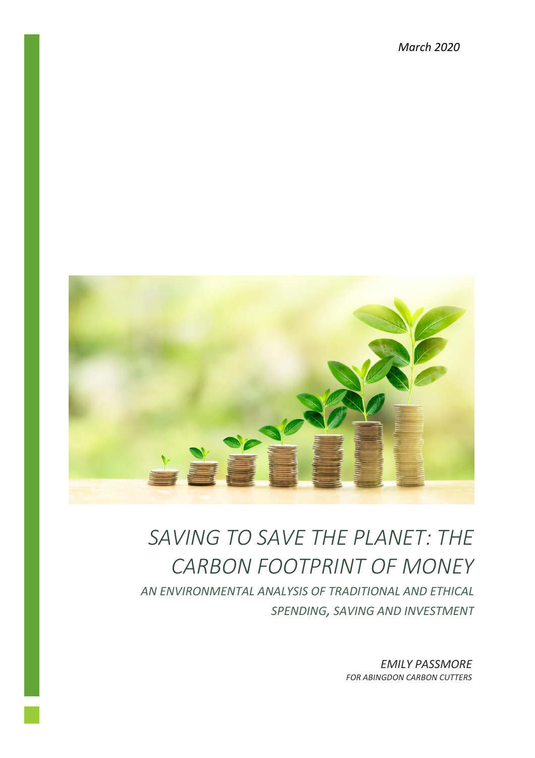*March 2020*



# *SAVING TO SAVE THE PLANET: THE CARBON FOOTPRINT OF MONEY*

*AN ENVIRONMENTAL ANALYSIS OF TRADITIONAL AND ETHICAL SPENDING, SAVING AND INVESTMENT*

> *EMILY PASSMORE FOR ABINGDON CARBON CUTTERS*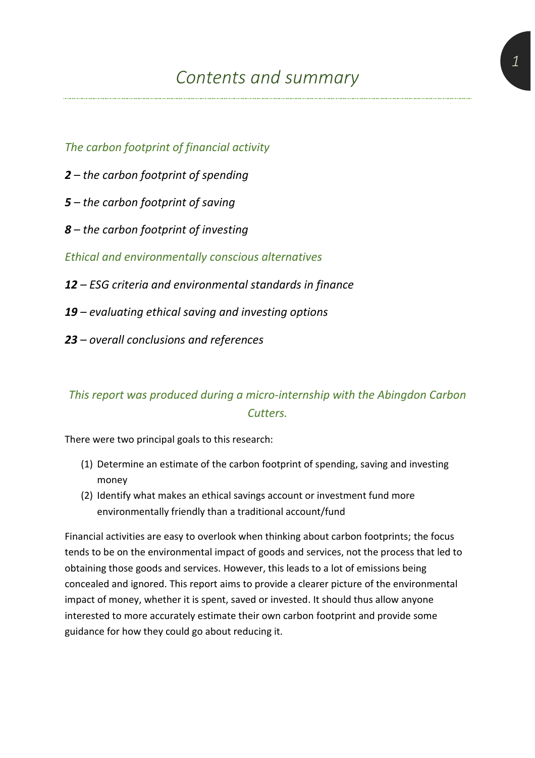*The carbon footprint of financial activity*

- *2 – the carbon footprint of spending*
- *5 – the carbon footprint of saving*
- *8 – the carbon footprint of investing*

*Ethical and environmentally conscious alternatives*

- *12 – ESG criteria and environmental standards in finance*
- *19 – evaluating ethical saving and investing options*
- *23 – overall conclusions and references*

## *This report was produced during a micro-internship with the Abingdon Carbon Cutters.*

There were two principal goals to this research:

- (1) Determine an estimate of the carbon footprint of spending, saving and investing money
- (2) Identify what makes an ethical savings account or investment fund more environmentally friendly than a traditional account/fund

Financial activities are easy to overlook when thinking about carbon footprints; the focus tends to be on the environmental impact of goods and services, not the process that led to obtaining those goods and services. However, this leads to a lot of emissions being concealed and ignored. This report aims to provide a clearer picture of the environmental impact of money, whether it is spent, saved or invested. It should thus allow anyone interested to more accurately estimate their own carbon footprint and provide some guidance for how they could go about reducing it.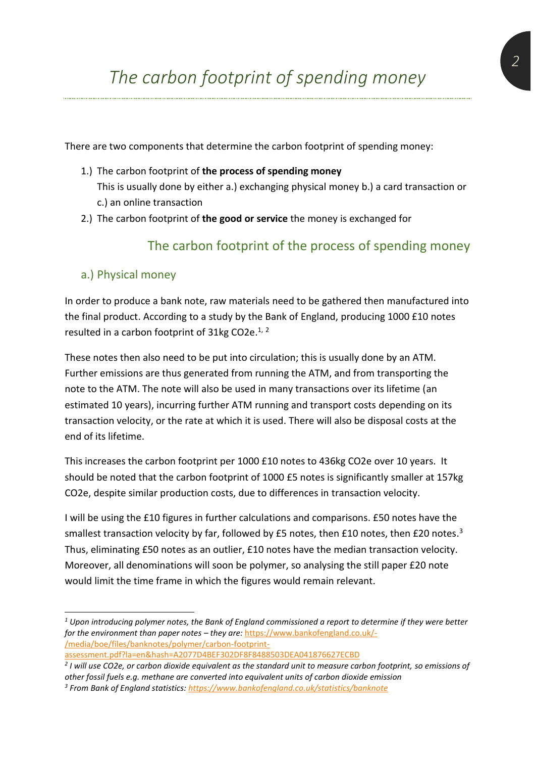There are two components that determine the carbon footprint of spending money:

- 1.) The carbon footprint of **the process of spending money** This is usually done by either a.) exchanging physical money b.) a card transaction or c.) an online transaction
- 2.) The carbon footprint of **the good or service** the money is exchanged for

## The carbon footprint of the process of spending money

#### a.) Physical money

In order to produce a bank note, raw materials need to be gathered then manufactured into the final product. According to a study by the Bank of England, producing 1000 £10 notes resulted in a carbon footprint of 31kg CO2e.<sup>1, 2</sup>

These notes then also need to be put into circulation; this is usually done by an ATM. Further emissions are thus generated from running the ATM, and from transporting the note to the ATM. The note will also be used in many transactions over its lifetime (an estimated 10 years), incurring further ATM running and transport costs depending on its transaction velocity, or the rate at which it is used. There will also be disposal costs at the end of its lifetime.

This increases the carbon footprint per 1000 £10 notes to 436kg CO2e over 10 years. It should be noted that the carbon footprint of 1000 £5 notes is significantly smaller at 157kg CO2e, despite similar production costs, due to differences in transaction velocity.

I will be using the £10 figures in further calculations and comparisons. £50 notes have the smallest transaction velocity by far, followed by £5 notes, then £10 notes, then £20 notes.<sup>3</sup> Thus, eliminating £50 notes as an outlier, £10 notes have the median transaction velocity. Moreover, all denominations will soon be polymer, so analysing the still paper £20 note would limit the time frame in which the figures would remain relevant.

*<sup>1</sup> Upon introducing polymer notes, the Bank of England commissioned a report to determine if they were better for the environment than paper notes – they are:* [https://www.bankofengland.co.uk/-](https://www.bankofengland.co.uk/-/media/boe/files/banknotes/polymer/carbon-footprint-assessment.pdf?la=en&hash=A2077D4BEF302DF8F8488503DEA041876627ECBD) [/media/boe/files/banknotes/polymer/carbon-footprint-](https://www.bankofengland.co.uk/-/media/boe/files/banknotes/polymer/carbon-footprint-assessment.pdf?la=en&hash=A2077D4BEF302DF8F8488503DEA041876627ECBD)

[assessment.pdf?la=en&hash=A2077D4BEF302DF8F8488503DEA041876627ECBD](https://www.bankofengland.co.uk/-/media/boe/files/banknotes/polymer/carbon-footprint-assessment.pdf?la=en&hash=A2077D4BEF302DF8F8488503DEA041876627ECBD)

*<sup>2</sup> I will use CO2e, or carbon dioxide equivalent as the standard unit to measure carbon footprint, so emissions of other fossil fuels e.g. methane are converted into equivalent units of carbon dioxide emission*

*<sup>3</sup> From Bank of England statistics[: https://www.bankofengland.co.uk/statistics/banknote](https://www.bankofengland.co.uk/statistics/banknote)*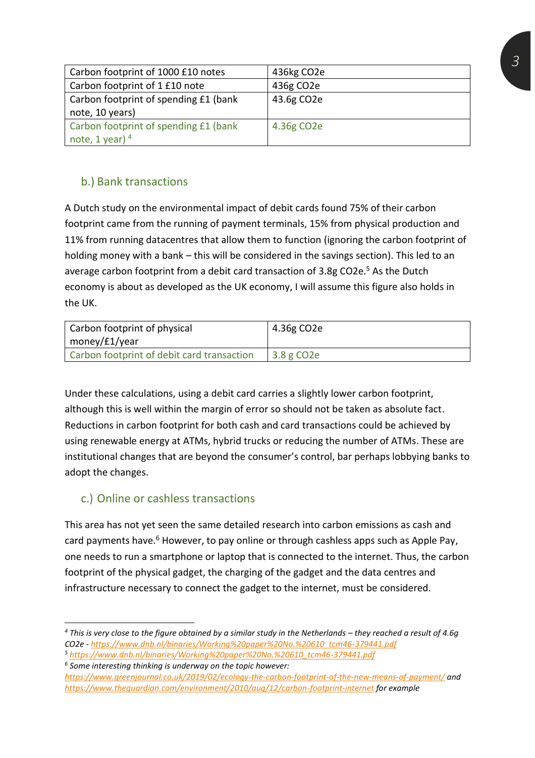| Carbon footprint of 1000 £10 notes    | 436kg CO2e              |
|---------------------------------------|-------------------------|
| Carbon footprint of 1 £10 note        | 436g CO2e               |
| Carbon footprint of spending £1 (bank | 43.6g CO2e              |
| note, 10 years)                       |                         |
| Carbon footprint of spending £1 (bank | 4.36g CO <sub>2</sub> e |
| note, 1 year) $4$                     |                         |

#### b.) Bank transactions

A Dutch study on the environmental impact of debit cards found 75% of their carbon footprint came from the running of payment terminals, 15% from physical production and 11% from running datacentres that allow them to function (ignoring the carbon footprint of holding money with a bank – this will be considered in the savings section). This led to an average carbon footprint from a debit card transaction of 3.8g CO2e.<sup>5</sup> As the Dutch economy is about as developed as the UK economy, I will assume this figure also holds in the UK.

| Carbon footprint of physical<br>money/£1/year | 4.36g CO2e              |
|-----------------------------------------------|-------------------------|
| Carbon footprint of debit card transaction    | 3.8 g CO <sub>2</sub> e |

Under these calculations, using a debit card carries a slightly lower carbon footprint, although this is well within the margin of error so should not be taken as absolute fact. Reductions in carbon footprint for both cash and card transactions could be achieved by using renewable energy at ATMs, hybrid trucks or reducing the number of ATMs. These are institutional changes that are beyond the consumer's control, bar perhaps lobbying banks to adopt the changes.

#### c.) Online or cashless transactions

This area has not yet seen the same detailed research into carbon emissions as cash and card payments have.<sup>6</sup> However, to pay online or through cashless apps such as Apple Pay, one needs to run a smartphone or laptop that is connected to the internet. Thus, the carbon footprint of the physical gadget, the charging of the gadget and the data centres and infrastructure necessary to connect the gadget to the internet, must be considered.

*<sup>4</sup>* This is very close to the figure obtained by a similar study in the Netherlands – they reached a result of 4.6g *CO2e - [https://www.dnb.nl/binaries/Working%20paper%20No.%20610\\_tcm46-379441.pdf](https://www.dnb.nl/binaries/Working%20paper%20No.%20610_tcm46-379441.pdf)*

*<sup>5</sup> [https://www.dnb.nl/binaries/Working%20paper%20No.%20610\\_tcm46-379441.pdf](https://www.dnb.nl/binaries/Working%20paper%20No.%20610_tcm46-379441.pdf)*

*<sup>6</sup> Some interesting thinking is underway on the topic however:* 

*<https://www.greenjournal.co.uk/2019/02/ecology-the-carbon-footprint-of-the-new-means-of-payment/> and <https://www.theguardian.com/environment/2010/aug/12/carbon-footprint-internet> for example*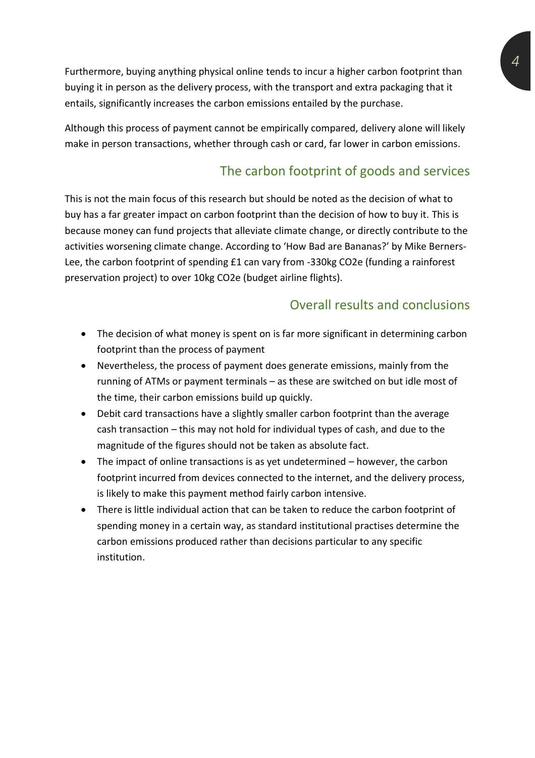Furthermore, buying anything physical online tends to incur a higher carbon footprint than buying it in person as the delivery process, with the transport and extra packaging that it entails, significantly increases the carbon emissions entailed by the purchase.

Although this process of payment cannot be empirically compared, delivery alone will likely make in person transactions, whether through cash or card, far lower in carbon emissions.

## The carbon footprint of goods and services

This is not the main focus of this research but should be noted as the decision of what to buy has a far greater impact on carbon footprint than the decision of how to buy it. This is because money can fund projects that alleviate climate change, or directly contribute to the activities worsening climate change. According to 'How Bad are Bananas?' by Mike Berners-Lee, the carbon footprint of spending £1 can vary from -330kg CO2e (funding a rainforest preservation project) to over 10kg CO2e (budget airline flights).

#### Overall results and conclusions

- The decision of what money is spent on is far more significant in determining carbon footprint than the process of payment
- Nevertheless, the process of payment does generate emissions, mainly from the running of ATMs or payment terminals – as these are switched on but idle most of the time, their carbon emissions build up quickly.
- Debit card transactions have a slightly smaller carbon footprint than the average cash transaction – this may not hold for individual types of cash, and due to the magnitude of the figures should not be taken as absolute fact.
- The impact of online transactions is as yet undetermined however, the carbon footprint incurred from devices connected to the internet, and the delivery process, is likely to make this payment method fairly carbon intensive.
- There is little individual action that can be taken to reduce the carbon footprint of spending money in a certain way, as standard institutional practises determine the carbon emissions produced rather than decisions particular to any specific institution.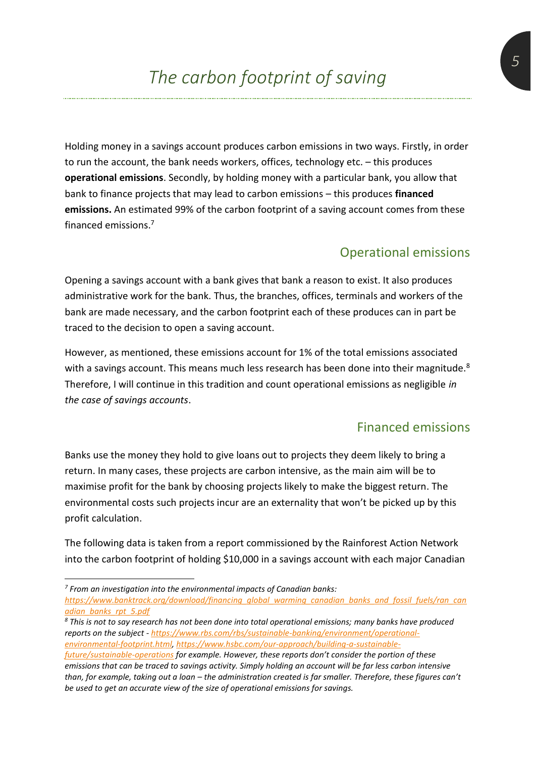Holding money in a savings account produces carbon emissions in two ways. Firstly, in order to run the account, the bank needs workers, offices, technology etc. – this produces **operational emissions**. Secondly, by holding money with a particular bank, you allow that bank to finance projects that may lead to carbon emissions – this produces **financed emissions.** An estimated 99% of the carbon footprint of a saving account comes from these financed emissions. 7

#### Operational emissions

Opening a savings account with a bank gives that bank a reason to exist. It also produces administrative work for the bank. Thus, the branches, offices, terminals and workers of the bank are made necessary, and the carbon footprint each of these produces can in part be traced to the decision to open a saving account.

However, as mentioned, these emissions account for 1% of the total emissions associated with a savings account. This means much less research has been done into their magnitude.<sup>8</sup> Therefore, I will continue in this tradition and count operational emissions as negligible *in the case of savings accounts*.

#### Financed emissions

Banks use the money they hold to give loans out to projects they deem likely to bring a return. In many cases, these projects are carbon intensive, as the main aim will be to maximise profit for the bank by choosing projects likely to make the biggest return. The environmental costs such projects incur are an externality that won't be picked up by this profit calculation.

The following data is taken from a report commissioned by the Rainforest Action Network into the carbon footprint of holding \$10,000 in a savings account with each major Canadian

*7 From an investigation into the environmental impacts of Canadian banks:* 

*[https://www.banktrack.org/download/financing\\_global\\_warming\\_canadian\\_banks\\_and\\_fossil\\_fuels/ran\\_can](https://www.banktrack.org/download/financing_global_warming_canadian_banks_and_fossil_fuels/ran_canadian_banks_rpt_5.pdf) [adian\\_banks\\_rpt\\_5.pdf](https://www.banktrack.org/download/financing_global_warming_canadian_banks_and_fossil_fuels/ran_canadian_banks_rpt_5.pdf)*

*<sup>8</sup> This is not to say research has not been done into total operational emissions; many banks have produced reports on the subject - [https://www.rbs.com/rbs/sustainable-banking/environment/operational](https://www.rbs.com/rbs/sustainable-banking/environment/operational-environmental-footprint.html)[environmental-footprint.html,](https://www.rbs.com/rbs/sustainable-banking/environment/operational-environmental-footprint.html) [https://www.hsbc.com/our-approach/building-a-sustainable-](https://www.hsbc.com/our-approach/building-a-sustainable-future/sustainable-operations)*

*[future/sustainable-operations](https://www.hsbc.com/our-approach/building-a-sustainable-future/sustainable-operations) for example. However, these reports don't consider the portion of these emissions that can be traced to savings activity. Simply holding an account will be far less carbon intensive than, for example, taking out a loan – the administration created is far smaller. Therefore, these figures can't be used to get an accurate view of the size of operational emissions for savings.*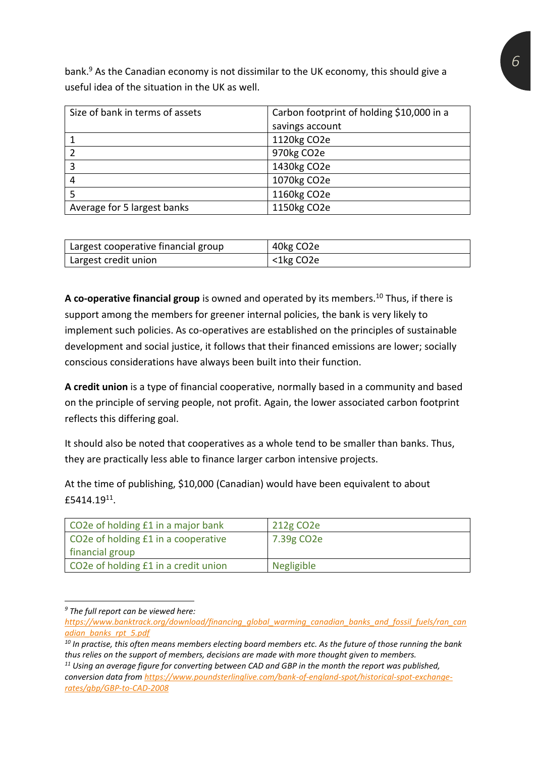bank.<sup>9</sup> As the Canadian economy is not dissimilar to the UK economy, this should give a useful idea of the situation in the UK as well.

| Size of bank in terms of assets | Carbon footprint of holding \$10,000 in a |
|---------------------------------|-------------------------------------------|
|                                 | savings account                           |
|                                 | 1120kg CO2e                               |
|                                 | 970kg CO2e                                |
| 3                               | 1430kg CO2e                               |
|                                 | 1070kg CO2e                               |
|                                 | 1160kg CO2e                               |
| Average for 5 largest banks     | 1150kg CO2e                               |

| Largest cooperative financial group | 40kg CO <sub>2</sub> e |
|-------------------------------------|------------------------|
| Largest credit union                | <1kg CO2e              |

**A co-operative financial group** is owned and operated by its members.<sup>10</sup> Thus, if there is support among the members for greener internal policies, the bank is very likely to implement such policies. As co-operatives are established on the principles of sustainable development and social justice, it follows that their financed emissions are lower; socially conscious considerations have always been built into their function.

**A credit union** is a type of financial cooperative, normally based in a community and based on the principle of serving people, not profit. Again, the lower associated carbon footprint reflects this differing goal.

It should also be noted that cooperatives as a whole tend to be smaller than banks. Thus, they are practically less able to finance larger carbon intensive projects.

At the time of publishing, \$10,000 (Canadian) would have been equivalent to about £5414.19<sup>11</sup> .

| CO2e of holding £1 in a major bank   | 212g CO <sub>2</sub> e  |
|--------------------------------------|-------------------------|
| CO2e of holding £1 in a cooperative  | 7.39g CO <sub>2</sub> e |
| financial group                      |                         |
| CO2e of holding £1 in a credit union | <b>Negligible</b>       |

*<sup>9</sup> The full report can be viewed here:* 

*[https://www.banktrack.org/download/financing\\_global\\_warming\\_canadian\\_banks\\_and\\_fossil\\_fuels/ran\\_can](https://www.banktrack.org/download/financing_global_warming_canadian_banks_and_fossil_fuels/ran_canadian_banks_rpt_5.pdf) [adian\\_banks\\_rpt\\_5.pdf](https://www.banktrack.org/download/financing_global_warming_canadian_banks_and_fossil_fuels/ran_canadian_banks_rpt_5.pdf)*

*<sup>10</sup> In practise, this often means members electing board members etc. As the future of those running the bank thus relies on the support of members, decisions are made with more thought given to members.* 

*<sup>11</sup> Using an average figure for converting between CAD and GBP in the month the report was published, conversion data fro[m https://www.poundsterlinglive.com/bank-of-england-spot/historical-spot-exchange](https://www.poundsterlinglive.com/bank-of-england-spot/historical-spot-exchange-rates/gbp/GBP-to-CAD-2008)[rates/gbp/GBP-to-CAD-2008](https://www.poundsterlinglive.com/bank-of-england-spot/historical-spot-exchange-rates/gbp/GBP-to-CAD-2008)*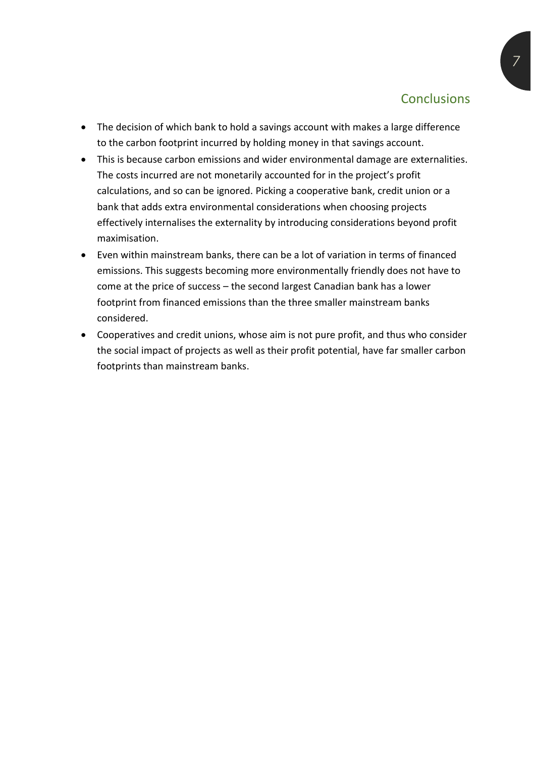#### **Conclusions**

- The decision of which bank to hold a savings account with makes a large difference to the carbon footprint incurred by holding money in that savings account.
- This is because carbon emissions and wider environmental damage are externalities. The costs incurred are not monetarily accounted for in the project's profit calculations, and so can be ignored. Picking a cooperative bank, credit union or a bank that adds extra environmental considerations when choosing projects effectively internalises the externality by introducing considerations beyond profit maximisation.
- Even within mainstream banks, there can be a lot of variation in terms of financed emissions. This suggests becoming more environmentally friendly does not have to come at the price of success – the second largest Canadian bank has a lower footprint from financed emissions than the three smaller mainstream banks considered.
- Cooperatives and credit unions, whose aim is not pure profit, and thus who consider the social impact of projects as well as their profit potential, have far smaller carbon footprints than mainstream banks.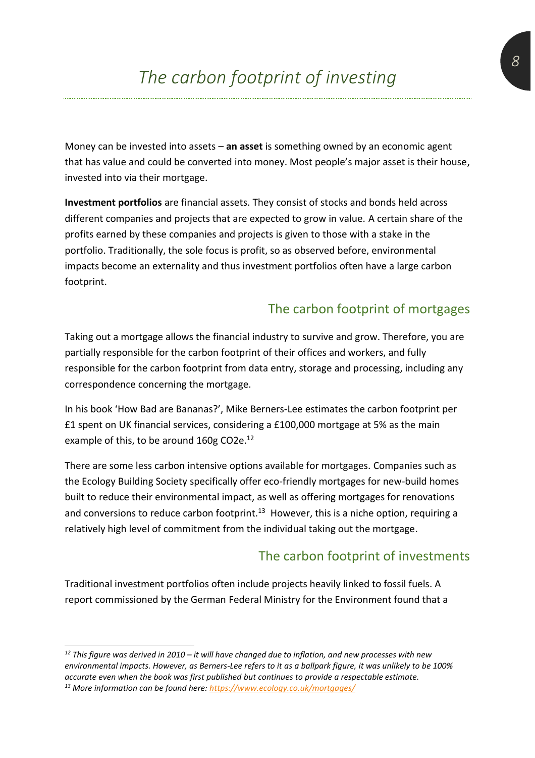Money can be invested into assets – **an asset** is something owned by an economic agent that has value and could be converted into money. Most people's major asset is their house, invested into via their mortgage.

**Investment portfolios** are financial assets. They consist of stocks and bonds held across different companies and projects that are expected to grow in value. A certain share of the profits earned by these companies and projects is given to those with a stake in the portfolio. Traditionally, the sole focus is profit, so as observed before, environmental impacts become an externality and thus investment portfolios often have a large carbon footprint.

#### The carbon footprint of mortgages

Taking out a mortgage allows the financial industry to survive and grow. Therefore, you are partially responsible for the carbon footprint of their offices and workers, and fully responsible for the carbon footprint from data entry, storage and processing, including any correspondence concerning the mortgage.

In his book 'How Bad are Bananas?', Mike Berners-Lee estimates the carbon footprint per £1 spent on UK financial services, considering a £100,000 mortgage at 5% as the main example of this, to be around 160g CO2e.<sup>12</sup>

There are some less carbon intensive options available for mortgages. Companies such as the Ecology Building Society specifically offer eco-friendly mortgages for new-build homes built to reduce their environmental impact, as well as offering mortgages for renovations and conversions to reduce carbon footprint.<sup>13</sup> However, this is a niche option, requiring a relatively high level of commitment from the individual taking out the mortgage.

#### The carbon footprint of investments

Traditional investment portfolios often include projects heavily linked to fossil fuels. A report commissioned by the German Federal Ministry for the Environment found that a

*<sup>12</sup> This figure was derived in 2010 – it will have changed due to inflation, and new processes with new environmental impacts. However, as Berners-Lee refers to it as a ballpark figure, it was unlikely to be 100% accurate even when the book was first published but continues to provide a respectable estimate. <sup>13</sup> More information can be found here:<https://www.ecology.co.uk/mortgages/>*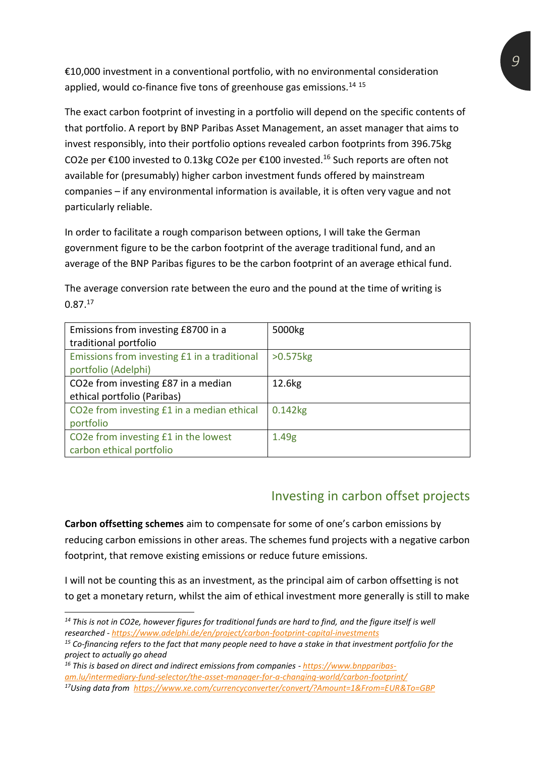€10,000 investment in a conventional portfolio, with no environmental consideration applied, would co-finance five tons of greenhouse gas emissions.<sup>14 15</sup>

The exact carbon footprint of investing in a portfolio will depend on the specific contents of that portfolio. A report by BNP Paribas Asset Management, an asset manager that aims to invest responsibly, into their portfolio options revealed carbon footprints from 396.75kg CO2e per  $\epsilon$ 100 invested to 0.13kg CO2e per  $\epsilon$ 100 invested.<sup>16</sup> Such reports are often not available for (presumably) higher carbon investment funds offered by mainstream companies – if any environmental information is available, it is often very vague and not particularly reliable.

In order to facilitate a rough comparison between options, I will take the German government figure to be the carbon footprint of the average traditional fund, and an average of the BNP Paribas figures to be the carbon footprint of an average ethical fund.

The average conversion rate between the euro and the pound at the time of writing is  $0.87<sup>17</sup>$ 

| Emissions from investing £8700 in a<br>traditional portfolio        | 5000kg                 |
|---------------------------------------------------------------------|------------------------|
| Emissions from investing £1 in a traditional<br>portfolio (Adelphi) | $>0.575$ <sub>kg</sub> |
| CO2e from investing £87 in a median<br>ethical portfolio (Paribas)  | 12.6kg                 |
| CO2e from investing £1 in a median ethical<br>portfolio             | $0.142$ <sub>kg</sub>  |
| CO2e from investing £1 in the lowest<br>carbon ethical portfolio    | 1.49 <sub>g</sub>      |

#### Investing in carbon offset projects

**Carbon offsetting schemes** aim to compensate for some of one's carbon emissions by reducing carbon emissions in other areas. The schemes fund projects with a negative carbon footprint, that remove existing emissions or reduce future emissions.

I will not be counting this as an investment, as the principal aim of carbon offsetting is not to get a monetary return, whilst the aim of ethical investment more generally is still to make

*<sup>14</sup> This is not in CO2e, however figures for traditional funds are hard to find, and the figure itself is well researched - <https://www.adelphi.de/en/project/carbon-footprint-capital-investments>*

*<sup>15</sup> Co-financing refers to the fact that many people need to have a stake in that investment portfolio for the project to actually go ahead*

*<sup>16</sup> This is based on direct and indirect emissions from companies - [https://www.bnpparibas-](https://www.bnpparibas-am.lu/intermediary-fund-selector/the-asset-manager-for-a-changing-world/carbon-footprint/)*

*[am.lu/intermediary-fund-selector/the-asset-manager-for-a-changing-world/carbon-footprint/](https://www.bnpparibas-am.lu/intermediary-fund-selector/the-asset-manager-for-a-changing-world/carbon-footprint/)*

*<sup>17</sup>Using data from <https://www.xe.com/currencyconverter/convert/?Amount=1&From=EUR&To=GBP>*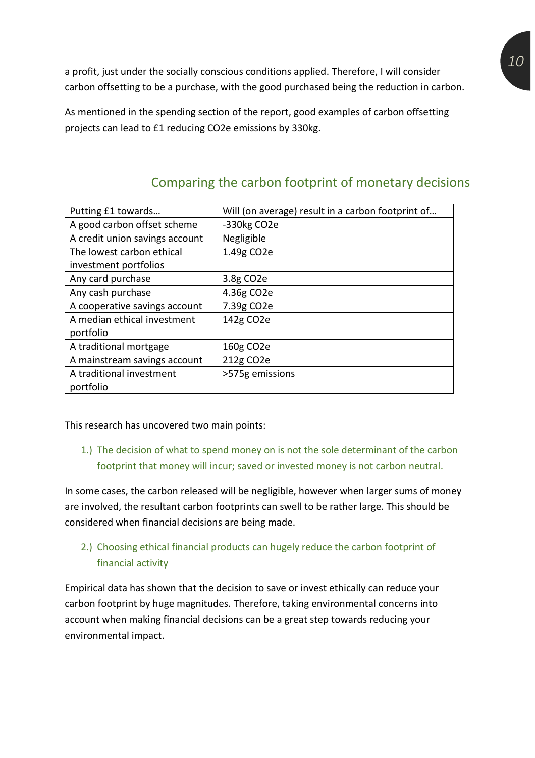a profit, just under the socially conscious conditions applied. Therefore, I will consider carbon offsetting to be a purchase, with the good purchased being the reduction in carbon.

As mentioned in the spending section of the report, good examples of carbon offsetting projects can lead to £1 reducing CO2e emissions by 330kg.

| Putting £1 towards             | Will (on average) result in a carbon footprint of |
|--------------------------------|---------------------------------------------------|
| A good carbon offset scheme    | -330kg CO2e                                       |
| A credit union savings account | Negligible                                        |
| The lowest carbon ethical      | 1.49g CO2e                                        |
| investment portfolios          |                                                   |
| Any card purchase              | 3.8g CO2e                                         |
| Any cash purchase              | 4.36g CO2e                                        |
| A cooperative savings account  | 7.39g CO <sub>2</sub> e                           |
| A median ethical investment    | 142g CO2e                                         |
| portfolio                      |                                                   |
| A traditional mortgage         | 160g CO <sub>2</sub> e                            |
| A mainstream savings account   | 212g CO2e                                         |
| A traditional investment       | >575g emissions                                   |
| portfolio                      |                                                   |

## Comparing the carbon footprint of monetary decisions

This research has uncovered two main points:

1.) The decision of what to spend money on is not the sole determinant of the carbon footprint that money will incur; saved or invested money is not carbon neutral.

In some cases, the carbon released will be negligible, however when larger sums of money are involved, the resultant carbon footprints can swell to be rather large. This should be considered when financial decisions are being made.

#### 2.) Choosing ethical financial products can hugely reduce the carbon footprint of financial activity

Empirical data has shown that the decision to save or invest ethically can reduce your carbon footprint by huge magnitudes. Therefore, taking environmental concerns into account when making financial decisions can be a great step towards reducing your environmental impact.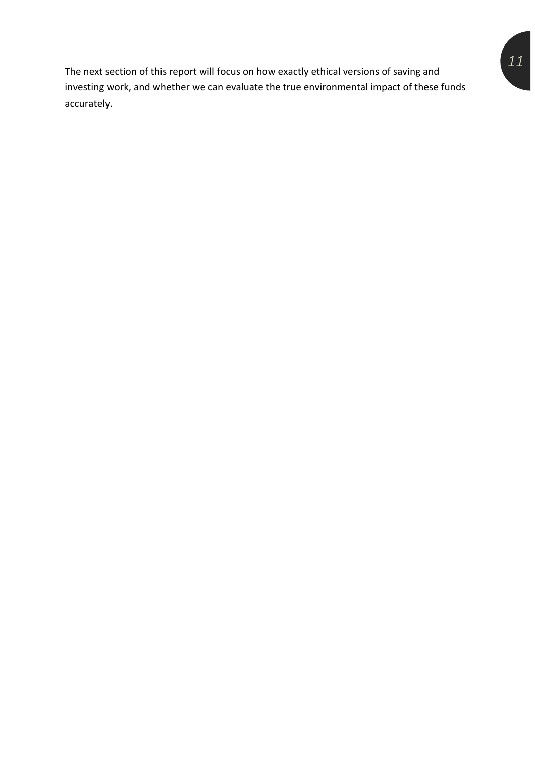The next section of this report will focus on how exactly ethical versions of saving and investing work, and whether we can evaluate the true environmental impact of these funds accurately.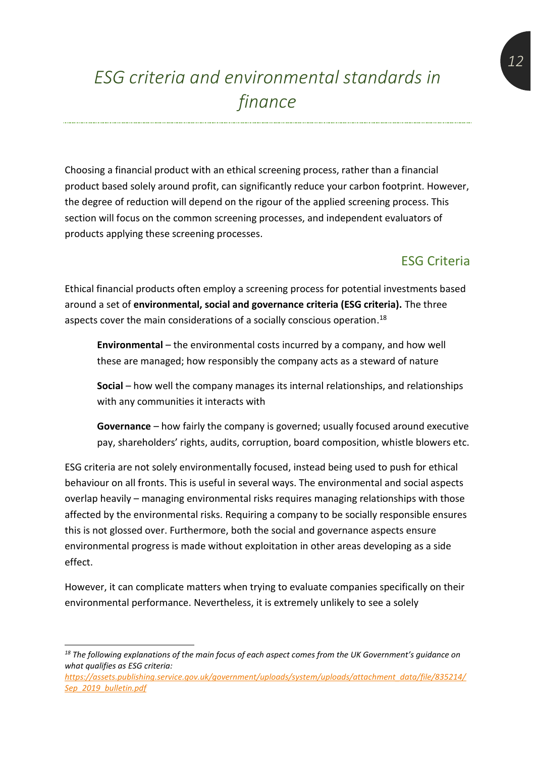## *ESG criteria and environmental standards in finance*

Choosing a financial product with an ethical screening process, rather than a financial product based solely around profit, can significantly reduce your carbon footprint. However, the degree of reduction will depend on the rigour of the applied screening process. This section will focus on the common screening processes, and independent evaluators of products applying these screening processes.

#### ESG Criteria

Ethical financial products often employ a screening process for potential investments based around a set of **environmental, social and governance criteria (ESG criteria).** The three aspects cover the main considerations of a socially conscious operation. $^{18}$ 

**Environmental** – the environmental costs incurred by a company, and how well these are managed; how responsibly the company acts as a steward of nature

**Social** – how well the company manages its internal relationships, and relationships with any communities it interacts with

**Governance** – how fairly the company is governed; usually focused around executive pay, shareholders' rights, audits, corruption, board composition, whistle blowers etc.

ESG criteria are not solely environmentally focused, instead being used to push for ethical behaviour on all fronts. This is useful in several ways. The environmental and social aspects overlap heavily – managing environmental risks requires managing relationships with those affected by the environmental risks. Requiring a company to be socially responsible ensures this is not glossed over. Furthermore, both the social and governance aspects ensure environmental progress is made without exploitation in other areas developing as a side effect.

However, it can complicate matters when trying to evaluate companies specifically on their environmental performance. Nevertheless, it is extremely unlikely to see a solely

*<sup>18</sup> The following explanations of the main focus of each aspect comes from the UK Government's guidance on what qualifies as ESG criteria:* 

*[https://assets.publishing.service.gov.uk/government/uploads/system/uploads/attachment\\_data/file/835214/](https://assets.publishing.service.gov.uk/government/uploads/system/uploads/attachment_data/file/835214/Sep_2019_bulletin.pdf) [Sep\\_2019\\_bulletin.pdf](https://assets.publishing.service.gov.uk/government/uploads/system/uploads/attachment_data/file/835214/Sep_2019_bulletin.pdf)*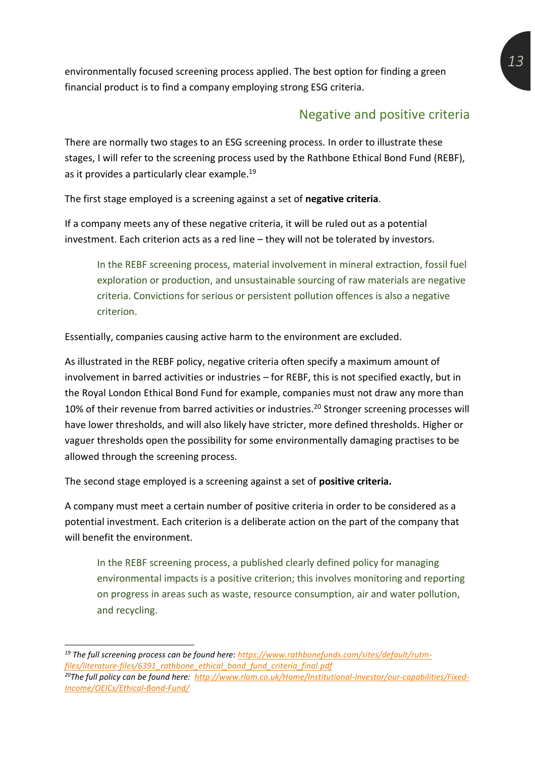environmentally focused screening process applied. The best option for finding a green financial product is to find a company employing strong ESG criteria.

#### Negative and positive criteria

There are normally two stages to an ESG screening process. In order to illustrate these stages, I will refer to the screening process used by the Rathbone Ethical Bond Fund (REBF), as it provides a particularly clear example. 19

The first stage employed is a screening against a set of **negative criteria**.

If a company meets any of these negative criteria, it will be ruled out as a potential investment. Each criterion acts as a red line – they will not be tolerated by investors.

In the REBF screening process, material involvement in mineral extraction, fossil fuel exploration or production, and unsustainable sourcing of raw materials are negative criteria. Convictions for serious or persistent pollution offences is also a negative criterion.

Essentially, companies causing active harm to the environment are excluded.

As illustrated in the REBF policy, negative criteria often specify a maximum amount of involvement in barred activities or industries – for REBF, this is not specified exactly, but in the Royal London Ethical Bond Fund for example, companies must not draw any more than 10% of their revenue from barred activities or industries.<sup>20</sup> Stronger screening processes will have lower thresholds, and will also likely have stricter, more defined thresholds. Higher or vaguer thresholds open the possibility for some environmentally damaging practises to be allowed through the screening process.

The second stage employed is a screening against a set of **positive criteria.** 

A company must meet a certain number of positive criteria in order to be considered as a potential investment. Each criterion is a deliberate action on the part of the company that will benefit the environment.

In the REBF screening process, a published clearly defined policy for managing environmental impacts is a positive criterion; this involves monitoring and reporting on progress in areas such as waste, resource consumption, air and water pollution, and recycling.

*<sup>19</sup> The full screening process can be found here[: https://www.rathbonefunds.com/sites/default/rutm](https://www.rathbonefunds.com/sites/default/rutm-files/literature-files/6391_rathbone_ethical_bond_fund_criteria_final.pdf)[files/literature-files/6391\\_rathbone\\_ethical\\_bond\\_fund\\_criteria\\_final.pdf](https://www.rathbonefunds.com/sites/default/rutm-files/literature-files/6391_rathbone_ethical_bond_fund_criteria_final.pdf) 20The full policy can be found here: [http://www.rlam.co.uk/Home/Institutional-Investor/our-capabilities/Fixed-](http://www.rlam.co.uk/Home/Institutional-Investor/our-capabilities/Fixed-Income/OEICs/Ethical-Bond-Fund/)[Income/OEICs/Ethical-Bond-Fund/](http://www.rlam.co.uk/Home/Institutional-Investor/our-capabilities/Fixed-Income/OEICs/Ethical-Bond-Fund/)*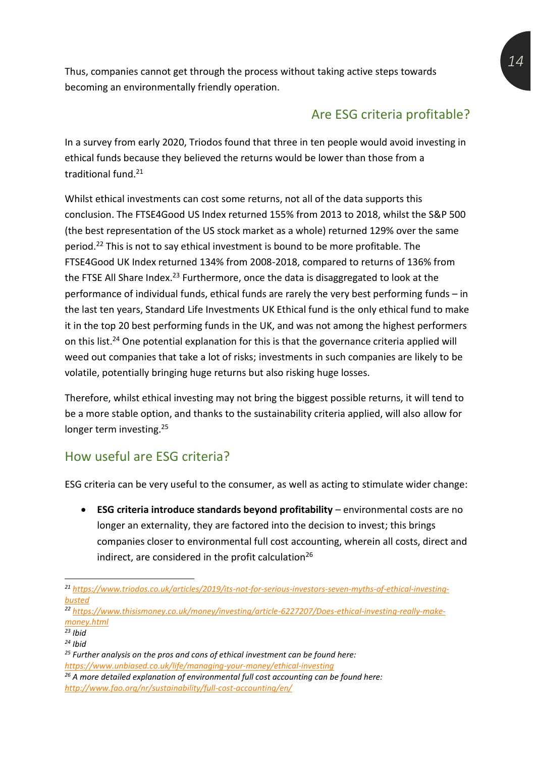Thus, companies cannot get through the process without taking active steps towards becoming an environmentally friendly operation.

## Are ESG criteria profitable?

In a survey from early 2020, Triodos found that three in ten people would avoid investing in ethical funds because they believed the returns would be lower than those from a traditional fund.<sup>21</sup>

Whilst ethical investments can cost some returns, not all of the data supports this conclusion. The FTSE4Good US Index returned 155% from 2013 to 2018, whilst the S&P 500 (the best representation of the US stock market as a whole) returned 129% over the same period.<sup>22</sup> This is not to say ethical investment is bound to be more profitable. The FTSE4Good UK Index returned 134% from 2008-2018, compared to returns of 136% from the FTSE All Share Index.<sup>23</sup> Furthermore, once the data is disaggregated to look at the performance of individual funds, ethical funds are rarely the very best performing funds – in the last ten years, Standard Life Investments UK Ethical fund is the only ethical fund to make it in the top 20 best performing funds in the UK, and was not among the highest performers on this list.<sup>24</sup> One potential explanation for this is that the governance criteria applied will weed out companies that take a lot of risks; investments in such companies are likely to be volatile, potentially bringing huge returns but also risking huge losses.

Therefore, whilst ethical investing may not bring the biggest possible returns, it will tend to be a more stable option, and thanks to the sustainability criteria applied, will also allow for longer term investing.<sup>25</sup>

#### How useful are ESG criteria?

ESG criteria can be very useful to the consumer, as well as acting to stimulate wider change:

• **ESG criteria introduce standards beyond profitability** – environmental costs are no longer an externality, they are factored into the decision to invest; this brings companies closer to environmental full cost accounting, wherein all costs, direct and indirect, are considered in the profit calculation<sup>26</sup>

*<sup>22</sup> [https://www.thisismoney.co.uk/money/investing/article-6227207/Does-ethical-investing-really-make](https://www.thisismoney.co.uk/money/investing/article-6227207/Does-ethical-investing-really-make-money.html)[money.html](https://www.thisismoney.co.uk/money/investing/article-6227207/Does-ethical-investing-really-make-money.html)*

*<sup>21</sup> [https://www.triodos.co.uk/articles/2019/its-not-for-serious-investors-seven-myths-of-ethical-investing](https://www.triodos.co.uk/articles/2019/its-not-for-serious-investors-seven-myths-of-ethical-investing-busted)[busted](https://www.triodos.co.uk/articles/2019/its-not-for-serious-investors-seven-myths-of-ethical-investing-busted)*

*<sup>23</sup> Ibid*

*<sup>24</sup> Ibid*

*<sup>25</sup> Further analysis on the pros and cons of ethical investment can be found here: <https://www.unbiased.co.uk/life/managing-your-money/ethical-investing>*

*<sup>26</sup> A more detailed explanation of environmental full cost accounting can be found here: <http://www.fao.org/nr/sustainability/full-cost-accounting/en/>*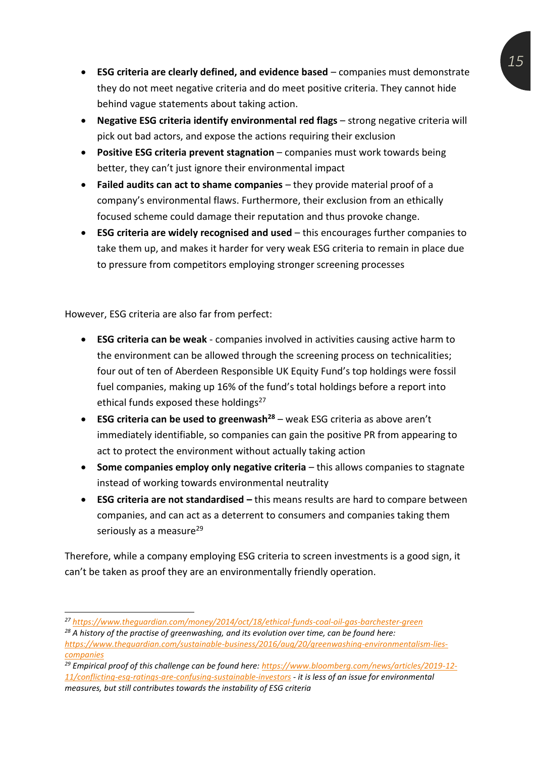- **ESG criteria are clearly defined, and evidence based** companies must demonstrate they do not meet negative criteria and do meet positive criteria. They cannot hide behind vague statements about taking action.
- **Negative ESG criteria identify environmental red flags** strong negative criteria will pick out bad actors, and expose the actions requiring their exclusion
- **Positive ESG criteria prevent stagnation** companies must work towards being better, they can't just ignore their environmental impact
- **Failed audits can act to shame companies** they provide material proof of a company's environmental flaws. Furthermore, their exclusion from an ethically focused scheme could damage their reputation and thus provoke change.
- **ESG criteria are widely recognised and used**  this encourages further companies to take them up, and makes it harder for very weak ESG criteria to remain in place due to pressure from competitors employing stronger screening processes

However, ESG criteria are also far from perfect:

- **ESG criteria can be weak**  companies involved in activities causing active harm to the environment can be allowed through the screening process on technicalities; four out of ten of Aberdeen Responsible UK Equity Fund's top holdings were fossil fuel companies, making up 16% of the fund's total holdings before a report into ethical funds exposed these holdings<sup>27</sup>
- **ESG criteria can be used to greenwash<sup>28</sup>** weak ESG criteria as above aren't immediately identifiable, so companies can gain the positive PR from appearing to act to protect the environment without actually taking action
- Some companies employ only negative criteria this allows companies to stagnate instead of working towards environmental neutrality
- **ESG criteria are not standardised –** this means results are hard to compare between companies, and can act as a deterrent to consumers and companies taking them seriously as a measure<sup>29</sup>

Therefore, while a company employing ESG criteria to screen investments is a good sign, it can't be taken as proof they are an environmentally friendly operation.

*<sup>29</sup> Empirical proof of this challenge can be found here: [https://www.bloomberg.com/news/articles/2019-12-](https://www.bloomberg.com/news/articles/2019-12-11/conflicting-esg-ratings-are-confusing-sustainable-investors) [11/conflicting-esg-ratings-are-confusing-sustainable-investors](https://www.bloomberg.com/news/articles/2019-12-11/conflicting-esg-ratings-are-confusing-sustainable-investors) - it is less of an issue for environmental* 

*measures, but still contributes towards the instability of ESG criteria* 

*<sup>27</sup> <https://www.theguardian.com/money/2014/oct/18/ethical-funds-coal-oil-gas-barchester-green>*

*<sup>28</sup> A history of the practise of greenwashing, and its evolution over time, can be found here:* 

*[https://www.theguardian.com/sustainable-business/2016/aug/20/greenwashing-environmentalism-lies](https://www.theguardian.com/sustainable-business/2016/aug/20/greenwashing-environmentalism-lies-companies)[companies](https://www.theguardian.com/sustainable-business/2016/aug/20/greenwashing-environmentalism-lies-companies)*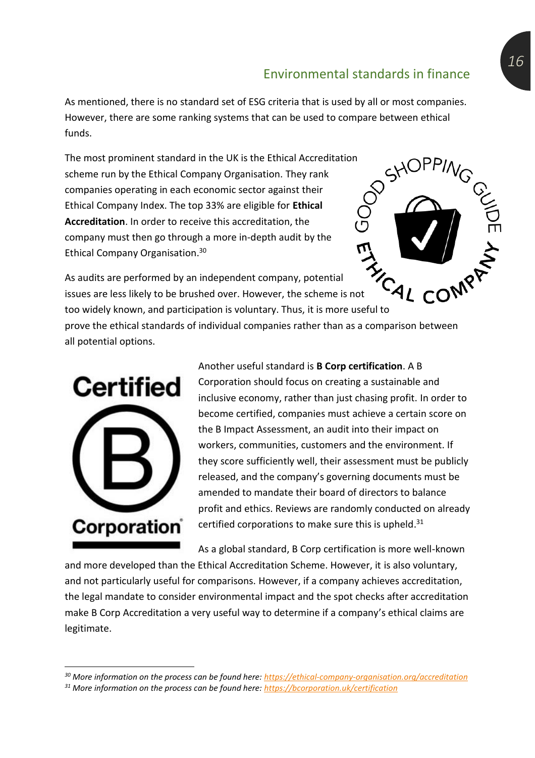As mentioned, there is no standard set of ESG criteria that is used by all or most companies. However, there are some ranking systems that can be used to compare between ethical funds.

The most prominent standard in the UK is the Ethical Accreditation scheme run by the Ethical Company Organisation. They rank companies operating in each economic sector against their Ethical Company Index. The top 33% are eligible for **Ethical Accreditation**. In order to receive this accreditation, the company must then go through a more in-depth audit by the Ethical Company Organisation. 30

As audits are performed by an independent company, potential issues are less likely to be brushed over. However, the scheme is not too widely known, and participation is voluntary. Thus, it is more useful to prove the ethical standards of individual companies rather than as a comparison between all potential options.



Another useful standard is **B Corp certification**. A B Corporation should focus on creating a sustainable and inclusive economy, rather than just chasing profit. In order to become certified, companies must achieve a certain score on the B Impact Assessment, an audit into their impact on workers, communities, customers and the environment. If they score sufficiently well, their assessment must be publicly released, and the company's governing documents must be amended to mandate their board of directors to balance profit and ethics. Reviews are randomly conducted on already certified corporations to make sure this is upheld.<sup>31</sup>

As a global standard, B Corp certification is more well-known

and more developed than the Ethical Accreditation Scheme. However, it is also voluntary, and not particularly useful for comparisons. However, if a company achieves accreditation, the legal mandate to consider environmental impact and the spot checks after accreditation make B Corp Accreditation a very useful way to determine if a company's ethical claims are legitimate.

*<sup>30</sup> More information on the process can be found here:<https://ethical-company-organisation.org/accreditation>*

*<sup>31</sup> More information on the process can be found here:<https://bcorporation.uk/certification>*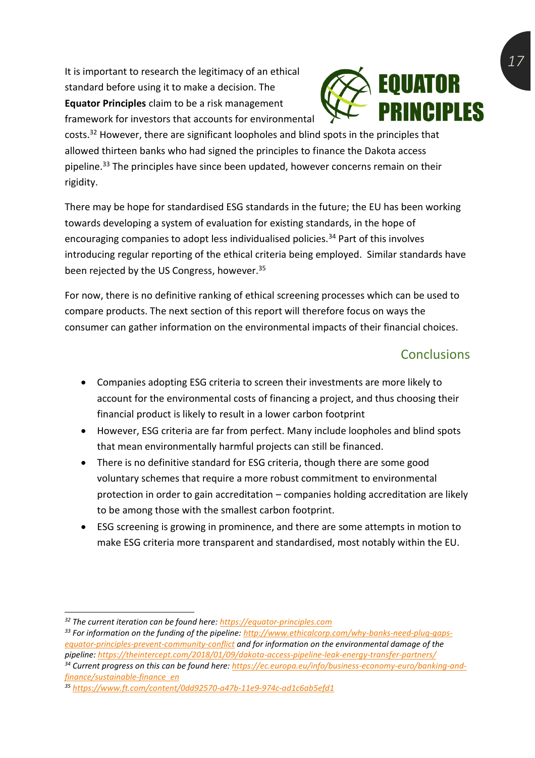It is important to research the legitimacy of an ethical standard before using it to make a decision. The **Equator Principles** claim to be a risk management framework for investors that accounts for environmental



costs.<sup>32</sup> However, there are significant loopholes and blind spots in the principles that allowed thirteen banks who had signed the principles to finance the Dakota access pipeline.<sup>33</sup> The principles have since been updated, however concerns remain on their rigidity.

There may be hope for standardised ESG standards in the future; the EU has been working towards developing a system of evaluation for existing standards, in the hope of encouraging companies to adopt less individualised policies.<sup>34</sup> Part of this involves introducing regular reporting of the ethical criteria being employed. Similar standards have been rejected by the US Congress, however. 35

For now, there is no definitive ranking of ethical screening processes which can be used to compare products. The next section of this report will therefore focus on ways the consumer can gather information on the environmental impacts of their financial choices.

## Conclusions

- Companies adopting ESG criteria to screen their investments are more likely to account for the environmental costs of financing a project, and thus choosing their financial product is likely to result in a lower carbon footprint
- However, ESG criteria are far from perfect. Many include loopholes and blind spots that mean environmentally harmful projects can still be financed.
- There is no definitive standard for ESG criteria, though there are some good voluntary schemes that require a more robust commitment to environmental protection in order to gain accreditation – companies holding accreditation are likely to be among those with the smallest carbon footprint.
- ESG screening is growing in prominence, and there are some attempts in motion to make ESG criteria more transparent and standardised, most notably within the EU.

*<sup>32</sup> The current iteration can be found here[: https://equator-principles.com](https://equator-principles.com/)*

*<sup>33</sup> For information on the funding of the pipeline[: http://www.ethicalcorp.com/why-banks-need-plug-gaps](http://www.ethicalcorp.com/why-banks-need-plug-gaps-equator-principles-prevent-community-conflict)[equator-principles-prevent-community-conflict](http://www.ethicalcorp.com/why-banks-need-plug-gaps-equator-principles-prevent-community-conflict) and for information on the environmental damage of the pipeline:<https://theintercept.com/2018/01/09/dakota-access-pipeline-leak-energy-transfer-partners/>*

*<sup>34</sup> Current progress on this can be found here: [https://ec.europa.eu/info/business-economy-euro/banking-and](https://ec.europa.eu/info/business-economy-euro/banking-and-finance/sustainable-finance_en)[finance/sustainable-finance\\_en](https://ec.europa.eu/info/business-economy-euro/banking-and-finance/sustainable-finance_en)*

*<sup>35</sup> <https://www.ft.com/content/0dd92570-a47b-11e9-974c-ad1c6ab5efd1>*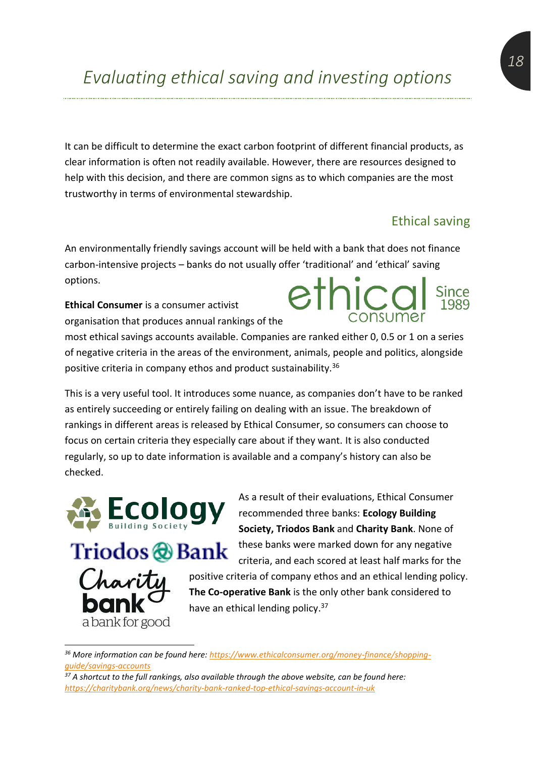It can be difficult to determine the exact carbon footprint of different financial products, as clear information is often not readily available. However, there are resources designed to help with this decision, and there are common signs as to which companies are the most trustworthy in terms of environmental stewardship.

#### Ethical saving

An environmentally friendly savings account will be held with a bank that does not finance carbon-intensive projects – banks do not usually offer 'traditional' and 'ethical' saving options. ethic

**Ethical Consumer** is a consumer activist organisation that produces annual rankings of the

most ethical savings accounts available. Companies are ranked either 0, 0.5 or 1 on a series of negative criteria in the areas of the environment, animals, people and politics, alongside positive criteria in company ethos and product sustainability.<sup>36</sup>

This is a very useful tool. It introduces some nuance, as companies don't have to be ranked as entirely succeeding or entirely failing on dealing with an issue. The breakdown of rankings in different areas is released by Ethical Consumer, so consumers can choose to focus on certain criteria they especially care about if they want. It is also conducted regularly, so up to date information is available and a company's history can also be checked.



Triodos @Bank a bank for good

As a result of their evaluations, Ethical Consumer recommended three banks: **Ecology Building Society, Triodos Bank** and **Charity Bank**. None of these banks were marked down for any negative criteria, and each scored at least half marks for the positive criteria of company ethos and an ethical lending policy. **The Co-operative Bank** is the only other bank considered to have an ethical lending policy.<sup>37</sup>

*<sup>36</sup> More information can be found here: [https://www.ethicalconsumer.org/money-finance/shopping](https://www.ethicalconsumer.org/money-finance/shopping-guide/savings-accounts)[guide/savings-accounts](https://www.ethicalconsumer.org/money-finance/shopping-guide/savings-accounts)*

*<sup>37</sup> A shortcut to the full rankings, also available through the above website, can be found here: <https://charitybank.org/news/charity-bank-ranked-top-ethical-savings-account-in-uk>*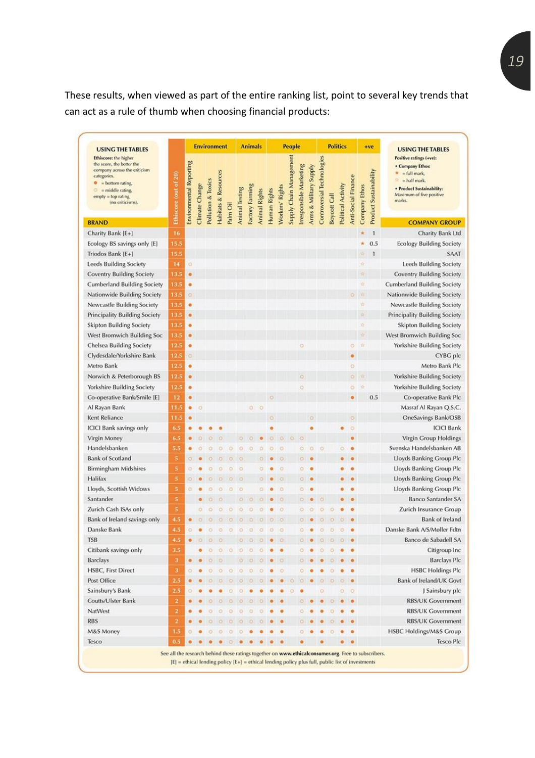These results, when viewed as part of the entire ranking list, point to several key trends that can act as a rule of thumb when choosing financial products:

| <b>USING THE TABLES</b>                                                                                                                                                                           |                       |                                |                |                    | <b>Environment</b>              |          |                       | <b>Animals</b>  |                      |              |                        | <b>People</b>           |                        |                        |                            |                     | <b>Politics</b>    |                     |               | $+ve$                         | <b>USING THE TABLES</b>                                                                                                                        |
|---------------------------------------------------------------------------------------------------------------------------------------------------------------------------------------------------|-----------------------|--------------------------------|----------------|--------------------|---------------------------------|----------|-----------------------|-----------------|----------------------|--------------|------------------------|-------------------------|------------------------|------------------------|----------------------------|---------------------|--------------------|---------------------|---------------|-------------------------------|------------------------------------------------------------------------------------------------------------------------------------------------|
| Ethiscore: the higher<br>the score, the better the<br>company across the criticism<br>categories.<br>= bottom rating.<br>۰<br>$=$ middle rating.<br>۰<br>$empty = top rating$<br>(no criticisms). | Ethiscore (out of 20) | <b>Environmental Reporting</b> | Climate Change | Pollution & Toxics | <b>Habitats &amp; Resources</b> | Palm Oil | <b>Animal Testing</b> | Factory Farming | <b>Animal Rights</b> | Human Rights | <b>Norkers' Rights</b> | Supply Chain Management | rresponsible Marketing | Arms & Military Supply | Controversial Technologies | <b>Boycott Call</b> | Political Activity | Anti-Social Finance | Company Ethos | <b>Product Sustainability</b> | Positive ratings (+ve):<br>. Company Ethos:<br>= full mark,<br>= half mark.<br>· Product Sustainability:<br>Maximum of five positive<br>marks. |
| <b>BRAND</b>                                                                                                                                                                                      |                       |                                |                |                    |                                 |          |                       |                 |                      |              |                        |                         |                        |                        |                            |                     |                    |                     |               |                               | <b>COMPANY GROUP</b>                                                                                                                           |
| Charity Bank [E+]                                                                                                                                                                                 | 16                    |                                |                |                    |                                 |          |                       |                 |                      |              |                        |                         |                        |                        |                            |                     |                    |                     |               | 1                             | Charity Bank Ltd                                                                                                                               |
| Ecology BS savings only [E]                                                                                                                                                                       | 15.5                  |                                |                |                    |                                 |          |                       |                 |                      |              |                        |                         |                        |                        |                            |                     |                    |                     | 责             | 0.5                           | <b>Ecology Building Society</b>                                                                                                                |
| Triodos Bank [E+]                                                                                                                                                                                 | 15.5                  |                                |                |                    |                                 |          |                       |                 |                      |              |                        |                         |                        |                        |                            |                     |                    |                     | s             | 1                             | SAAT                                                                                                                                           |
| Leeds Building Society                                                                                                                                                                            | 14                    | o                              |                |                    |                                 |          |                       |                 |                      |              |                        |                         |                        |                        |                            |                     |                    |                     | 責             |                               | <b>Leeds Building Society</b>                                                                                                                  |
| Coventry Building Society                                                                                                                                                                         | 13.5                  | $\bullet$                      |                |                    |                                 |          |                       |                 |                      |              |                        |                         |                        |                        |                            |                     |                    |                     | w             |                               | <b>Coventry Building Society</b>                                                                                                               |
| <b>Cumberland Building Society</b>                                                                                                                                                                | 13.5                  | ۰                              |                |                    |                                 |          |                       |                 |                      |              |                        |                         |                        |                        |                            |                     |                    |                     | V.            |                               | <b>Cumberland Building Society</b>                                                                                                             |
| Nationwide Building Society                                                                                                                                                                       | 13.5                  | o                              |                |                    |                                 |          |                       |                 |                      |              |                        |                         |                        |                        |                            |                     |                    | o                   | n.            |                               | Nationwide Building Society                                                                                                                    |
| Newcastle Building Society                                                                                                                                                                        | 13.5                  | ۰                              |                |                    |                                 |          |                       |                 |                      |              |                        |                         |                        |                        |                            |                     |                    |                     | 俭             |                               | Newcastle Building Society                                                                                                                     |
| Principality Building Society                                                                                                                                                                     | 13.5                  | ۰                              |                |                    |                                 |          |                       |                 |                      |              |                        |                         |                        |                        |                            |                     |                    |                     | 궠             |                               | Principality Building Society                                                                                                                  |
| Skipton Building Society                                                                                                                                                                          | 13.5                  | ۰                              |                |                    |                                 |          |                       |                 |                      |              |                        |                         |                        |                        |                            |                     |                    |                     | ú             |                               | <b>Skipton Building Society</b>                                                                                                                |
| West Bromwich Building Soc                                                                                                                                                                        | 13.5                  | ۰                              |                |                    |                                 |          |                       |                 |                      |              |                        |                         |                        |                        |                            |                     |                    |                     | s             |                               | West Bromwich Building Soc                                                                                                                     |
| Chelsea Building Society                                                                                                                                                                          | 12.5                  | ۰                              |                |                    |                                 |          |                       |                 |                      |              |                        |                         | ō                      |                        |                            |                     |                    | $\circ$             | 耸             |                               | Yorkshire Building Society                                                                                                                     |
| Clydesdale/Yorkshire Bank                                                                                                                                                                         | 12.5                  | ö                              |                |                    |                                 |          |                       |                 |                      |              |                        |                         |                        |                        |                            |                     |                    |                     |               |                               | CYBG plc                                                                                                                                       |
| Metro Bank                                                                                                                                                                                        | 12.5                  | ۰                              |                |                    |                                 |          |                       |                 |                      |              |                        |                         |                        |                        |                            |                     |                    | ö                   |               |                               | Metro Bank Plc                                                                                                                                 |
| Norwich & Peterborough BS                                                                                                                                                                         | 12.5                  | $\bullet$                      |                |                    |                                 |          |                       |                 |                      |              |                        |                         | O                      |                        |                            |                     |                    | $\circ$             |               |                               | <b>Yorkshire Building Society</b>                                                                                                              |
| Yorkshire Building Society                                                                                                                                                                        | 12.5                  | ۰                              |                |                    |                                 |          |                       |                 |                      |              |                        |                         | ö                      |                        |                            |                     |                    | ö                   |               |                               | <b>Yorkshire Building Society</b>                                                                                                              |
| Co-operative Bank/Smile [E]                                                                                                                                                                       | 12                    |                                |                |                    |                                 |          |                       |                 |                      |              |                        |                         |                        |                        |                            |                     |                    | o                   |               | 0.5                           | Co-operative Bank Plc                                                                                                                          |
| Al Rayan Bank                                                                                                                                                                                     | 11.5                  | ۰                              | O              |                    |                                 |          |                       | ö)              | ö                    |              |                        |                         |                        |                        |                            |                     |                    |                     |               |                               | Masraf Al Rayan Q.S.C.                                                                                                                         |
| Kent Reliance                                                                                                                                                                                     | 11.5                  |                                |                |                    |                                 |          |                       |                 |                      |              |                        |                         |                        |                        |                            |                     |                    |                     |               |                               | OneSavings Bank/OSB                                                                                                                            |
| <b>ICICI Bank savings only</b>                                                                                                                                                                    | 6.5                   |                                |                |                    |                                 |          |                       |                 |                      |              |                        |                         |                        |                        |                            |                     |                    | $\circ$             |               |                               | <b>ICICI Bank</b>                                                                                                                              |
| Virgin Money                                                                                                                                                                                      | 6.5                   | ō                              |                |                    |                                 |          |                       |                 |                      |              |                        |                         |                        |                        |                            |                     |                    |                     |               |                               | Virgin Group Holdings                                                                                                                          |
| Handelsbanken                                                                                                                                                                                     | 5.5                   | ۰                              |                |                    | o                               |          | O                     | o               | ō                    |              | o                      |                         | O                      | O                      | o                          |                     | ö                  |                     |               |                               | Svenska Handelsbanken AB                                                                                                                       |
| <b>Bank of Scotland</b>                                                                                                                                                                           | 5                     | o                              |                |                    | n                               |          |                       |                 |                      |              |                        |                         |                        |                        |                            |                     |                    |                     |               |                               | Lloyds Banking Group Plc                                                                                                                       |
| <b>Birmingham Midshires</b>                                                                                                                                                                       | 5                     | o                              |                | ٥                  | o                               | ۰        | O                     |                 |                      |              | ö                      |                         | ö                      |                        |                            |                     |                    |                     |               |                               | Lloyds Banking Group Plc                                                                                                                       |
| Halifax                                                                                                                                                                                           | 5                     | O.                             |                | $\circ$            | D.                              | $\circ$  | Đ                     |                 | ō                    |              | o                      |                         | o                      |                        |                            |                     |                    |                     |               |                               | Lloyds Banking Group Plc                                                                                                                       |
| Lloyds, Scottish Widows                                                                                                                                                                           | 5                     | a                              |                |                    | o                               | $\circ$  | ю                     |                 | Ō                    |              | o                      |                         | ۰                      |                        |                            |                     |                    |                     |               |                               | Lloyds Banking Group Plc                                                                                                                       |
| Santander                                                                                                                                                                                         | 5                     |                                |                |                    |                                 |          |                       |                 |                      |              |                        |                         |                        |                        |                            |                     |                    |                     |               |                               | <b>Banco Santander SA</b>                                                                                                                      |
|                                                                                                                                                                                                   | 5                     |                                |                |                    |                                 |          |                       |                 |                      |              |                        |                         |                        |                        |                            |                     |                    |                     |               |                               |                                                                                                                                                |
| Zurich Cash ISAs only                                                                                                                                                                             |                       |                                |                |                    |                                 |          |                       |                 |                      |              | o                      |                         | $\circ$                |                        |                            |                     |                    |                     |               |                               | Zurich Insurance Group                                                                                                                         |
| Bank of Ireland savings only                                                                                                                                                                      | 4.5                   |                                |                |                    |                                 |          |                       |                 |                      |              | Ð                      |                         |                        |                        |                            |                     |                    |                     |               |                               | <b>Bank of Ireland</b>                                                                                                                         |
| Danske Bank                                                                                                                                                                                       | 4.5                   | o                              |                | o                  | O                               | a        |                       |                 | o                    | o            | ٥                      |                         | ö                      |                        |                            |                     |                    |                     |               |                               | Danske Bank A/S/Møller Fdtn                                                                                                                    |
| <b>TSB</b>                                                                                                                                                                                        |                       |                                |                |                    |                                 |          |                       |                 |                      |              |                        |                         |                        |                        |                            |                     |                    |                     |               |                               | Banco de Sabadell SA                                                                                                                           |
| Citibank savings only                                                                                                                                                                             | 3.5                   |                                |                | o                  | $\circ$                         | $\circ$  | $\circ$               | o               | o                    |              |                        |                         |                        |                        | Θ                          |                     |                    |                     |               |                               | Citigroup Inc.                                                                                                                                 |
| <b>Barclays</b>                                                                                                                                                                                   | 3                     |                                |                |                    |                                 |          | O.                    | <b>G</b>        |                      |              |                        |                         |                        |                        |                            |                     |                    |                     |               |                               | <b>Barclays Plc</b>                                                                                                                            |
| <b>HSBC, First Direct</b>                                                                                                                                                                         | 3                     | o                              |                |                    | $\circ$                         | o        | $\circ$               | o               |                      |              | $\circ$                |                         | O                      |                        |                            |                     |                    |                     |               |                               | <b>HSBC Holdings Plc</b>                                                                                                                       |
| Post Office                                                                                                                                                                                       | 2.5                   |                                |                |                    |                                 |          |                       |                 |                      |              |                        |                         |                        |                        |                            |                     |                    |                     |               |                               | Bank of Ireland/UK Govt                                                                                                                        |
| Sainsbury's Bank                                                                                                                                                                                  | 2.5                   |                                |                |                    |                                 |          |                       |                 |                      |              |                        |                         |                        |                        |                            |                     | o                  | ö                   |               |                               | J Sainsbury plc                                                                                                                                |
| Coutts/Ulster Bank                                                                                                                                                                                | 2                     |                                |                |                    |                                 |          |                       |                 |                      |              |                        |                         |                        |                        |                            |                     |                    |                     |               |                               | <b>RBS/UK Government</b>                                                                                                                       |
| NatWest                                                                                                                                                                                           | 2                     |                                |                |                    |                                 |          |                       |                 |                      |              |                        |                         |                        |                        |                            |                     |                    |                     |               |                               | <b>RBS/UK Government</b>                                                                                                                       |
| <b>RBS</b>                                                                                                                                                                                        | $\bf{2}$              |                                |                |                    |                                 |          | o                     |                 |                      |              |                        |                         |                        |                        |                            |                     |                    |                     |               |                               | <b>RBS/UK Government</b>                                                                                                                       |
| M&S Money                                                                                                                                                                                         | 1.5                   |                                |                |                    |                                 |          |                       |                 |                      |              |                        |                         |                        |                        |                            |                     |                    |                     |               |                               | HSBC Holdings/M&S Group                                                                                                                        |
| Tesco                                                                                                                                                                                             | 0.5                   |                                |                |                    |                                 |          |                       |                 |                      |              |                        |                         |                        |                        |                            |                     |                    |                     |               |                               | Tesco Plc                                                                                                                                      |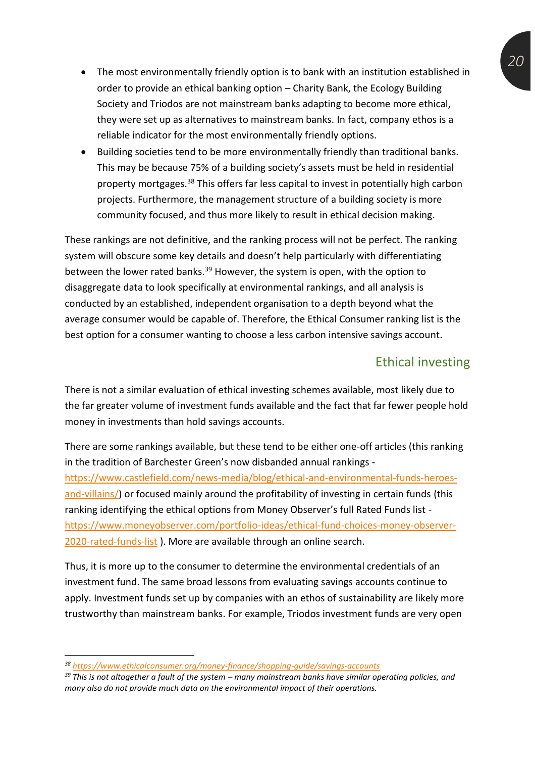- The most environmentally friendly option is to bank with an institution established in order to provide an ethical banking option – Charity Bank, the Ecology Building Society and Triodos are not mainstream banks adapting to become more ethical, they were set up as alternatives to mainstream banks. In fact, company ethos is a reliable indicator for the most environmentally friendly options.
- Building societies tend to be more environmentally friendly than traditional banks. This may be because 75% of a building society's assets must be held in residential property mortgages.<sup>38</sup> This offers far less capital to invest in potentially high carbon projects. Furthermore, the management structure of a building society is more community focused, and thus more likely to result in ethical decision making.

These rankings are not definitive, and the ranking process will not be perfect. The ranking system will obscure some key details and doesn't help particularly with differentiating between the lower rated banks.<sup>39</sup> However, the system is open, with the option to disaggregate data to look specifically at environmental rankings, and all analysis is conducted by an established, independent organisation to a depth beyond what the average consumer would be capable of. Therefore, the Ethical Consumer ranking list is the best option for a consumer wanting to choose a less carbon intensive savings account.

#### Ethical investing

There is not a similar evaluation of ethical investing schemes available, most likely due to the far greater volume of investment funds available and the fact that far fewer people hold money in investments than hold savings accounts.

There are some rankings available, but these tend to be either one-off articles (this ranking in the tradition of Barchester Green's now disbanded annual rankings [https://www.castlefield.com/news-media/blog/ethical-and-environmental-funds-heroes](https://www.castlefield.com/news-media/blog/ethical-and-environmental-funds-heroes-and-villains/)[and-villains/\)](https://www.castlefield.com/news-media/blog/ethical-and-environmental-funds-heroes-and-villains/) or focused mainly around the profitability of investing in certain funds (this ranking identifying the ethical options from Money Observer's full Rated Funds list [https://www.moneyobserver.com/portfolio-ideas/ethical-fund-choices-money-observer-](https://www.moneyobserver.com/portfolio-ideas/ethical-fund-choices-money-observer-2020-rated-funds-list)[2020-rated-funds-list](https://www.moneyobserver.com/portfolio-ideas/ethical-fund-choices-money-observer-2020-rated-funds-list) ). More are available through an online search.

Thus, it is more up to the consumer to determine the environmental credentials of an investment fund. The same broad lessons from evaluating savings accounts continue to apply. Investment funds set up by companies with an ethos of sustainability are likely more trustworthy than mainstream banks. For example, Triodos investment funds are very open

*<sup>38</sup> <https://www.ethicalconsumer.org/money-finance/shopping-guide/savings-accounts>*

*<sup>39</sup> This is not altogether a fault of the system – many mainstream banks have similar operating policies, and many also do not provide much data on the environmental impact of their operations.*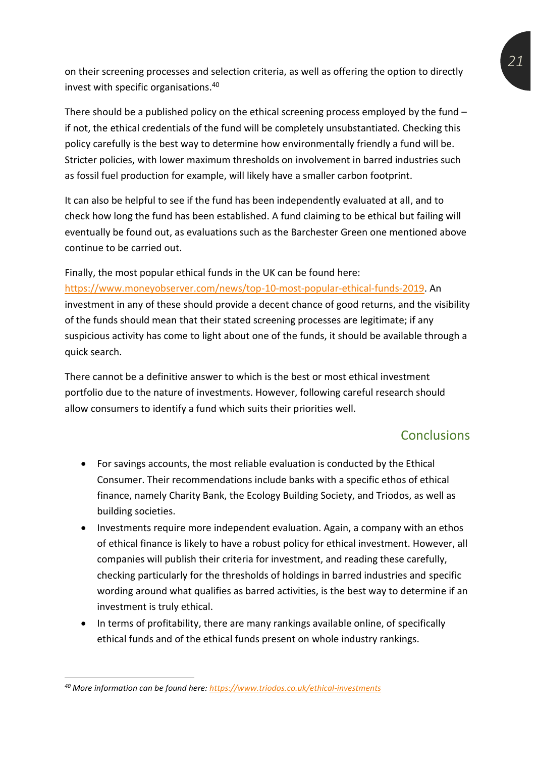on their screening processes and selection criteria, as well as offering the option to directly invest with specific organisations.<sup>40</sup>

There should be a published policy on the ethical screening process employed by the fund  $$ if not, the ethical credentials of the fund will be completely unsubstantiated. Checking this policy carefully is the best way to determine how environmentally friendly a fund will be. Stricter policies, with lower maximum thresholds on involvement in barred industries such as fossil fuel production for example, will likely have a smaller carbon footprint.

It can also be helpful to see if the fund has been independently evaluated at all, and to check how long the fund has been established. A fund claiming to be ethical but failing will eventually be found out, as evaluations such as the Barchester Green one mentioned above continue to be carried out.

Finally, the most popular ethical funds in the UK can be found here: [https://www.moneyobserver.com/news/top-10-most-popular-ethical-funds-2019.](https://www.moneyobserver.com/news/top-10-most-popular-ethical-funds-2019) An investment in any of these should provide a decent chance of good returns, and the visibility of the funds should mean that their stated screening processes are legitimate; if any suspicious activity has come to light about one of the funds, it should be available through a quick search.

There cannot be a definitive answer to which is the best or most ethical investment portfolio due to the nature of investments. However, following careful research should allow consumers to identify a fund which suits their priorities well.

## **Conclusions**

- For savings accounts, the most reliable evaluation is conducted by the Ethical Consumer. Their recommendations include banks with a specific ethos of ethical finance, namely Charity Bank, the Ecology Building Society, and Triodos, as well as building societies.
- Investments require more independent evaluation. Again, a company with an ethos of ethical finance is likely to have a robust policy for ethical investment. However, all companies will publish their criteria for investment, and reading these carefully, checking particularly for the thresholds of holdings in barred industries and specific wording around what qualifies as barred activities, is the best way to determine if an investment is truly ethical.
- In terms of profitability, there are many rankings available online, of specifically ethical funds and of the ethical funds present on whole industry rankings.

*<sup>40</sup> More information can be found here:<https://www.triodos.co.uk/ethical-investments>*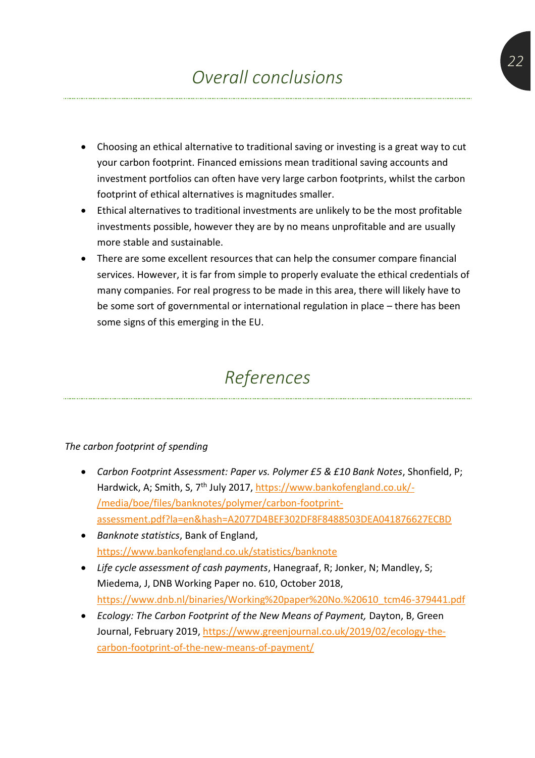- Choosing an ethical alternative to traditional saving or investing is a great way to cut your carbon footprint. Financed emissions mean traditional saving accounts and investment portfolios can often have very large carbon footprints, whilst the carbon footprint of ethical alternatives is magnitudes smaller.
- Ethical alternatives to traditional investments are unlikely to be the most profitable investments possible, however they are by no means unprofitable and are usually more stable and sustainable.
- There are some excellent resources that can help the consumer compare financial services. However, it is far from simple to properly evaluate the ethical credentials of many companies. For real progress to be made in this area, there will likely have to be some sort of governmental or international regulation in place – there has been some signs of this emerging in the EU.

## *References*

#### *The carbon footprint of spending*

- *Carbon Footprint Assessment: Paper vs. Polymer £5 & £10 Bank Notes*, Shonfield, P; Hardwick, A; Smith, S, 7<sup>th</sup> July 2017, <u>https://www.bankofengland.co.uk/-</u> [/media/boe/files/banknotes/polymer/carbon-footprint](https://www.bankofengland.co.uk/-/media/boe/files/banknotes/polymer/carbon-footprint-assessment.pdf?la=en&hash=A2077D4BEF302DF8F8488503DEA041876627ECBD)[assessment.pdf?la=en&hash=A2077D4BEF302DF8F8488503DEA041876627ECBD](https://www.bankofengland.co.uk/-/media/boe/files/banknotes/polymer/carbon-footprint-assessment.pdf?la=en&hash=A2077D4BEF302DF8F8488503DEA041876627ECBD)
- *Banknote statistics*, Bank of England, <https://www.bankofengland.co.uk/statistics/banknote>
- *Life cycle assessment of cash payments*, Hanegraaf, R; Jonker, N; Mandley, S; Miedema, J, DNB Working Paper no. 610, October 2018, [https://www.dnb.nl/binaries/Working%20paper%20No.%20610\\_tcm46-379441.pdf](https://www.dnb.nl/binaries/Working%20paper%20No.%20610_tcm46-379441.pdf)
- *Ecology: The Carbon Footprint of the New Means of Payment,* Dayton, B, Green Journal, February 2019, [https://www.greenjournal.co.uk/2019/02/ecology-the](https://www.greenjournal.co.uk/2019/02/ecology-the-carbon-footprint-of-the-new-means-of-payment/)[carbon-footprint-of-the-new-means-of-payment/](https://www.greenjournal.co.uk/2019/02/ecology-the-carbon-footprint-of-the-new-means-of-payment/)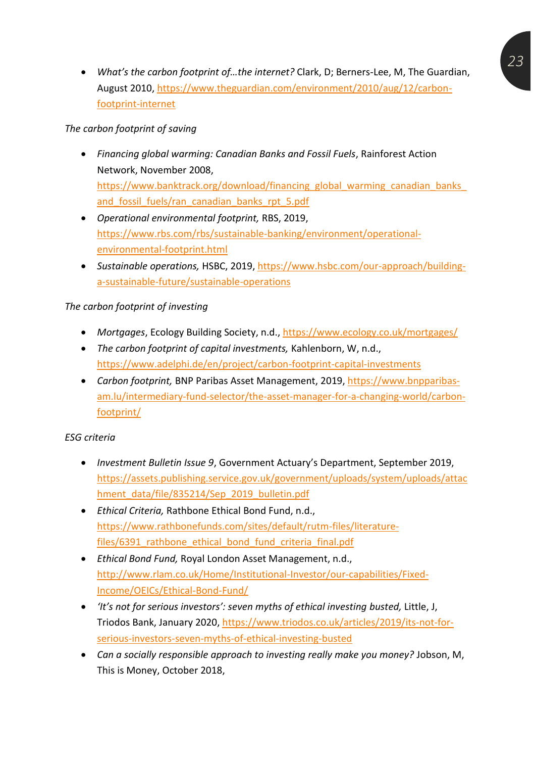• *What's the carbon footprint of…the internet?* Clark, D; Berners-Lee, M, The Guardian, August 2010[, https://www.theguardian.com/environment/2010/aug/12/carbon](https://www.theguardian.com/environment/2010/aug/12/carbon-footprint-internet)[footprint-internet](https://www.theguardian.com/environment/2010/aug/12/carbon-footprint-internet)

#### *The carbon footprint of saving*

- *Financing global warming: Canadian Banks and Fossil Fuels*, Rainforest Action Network, November 2008, https://www.banktrack.org/download/financing\_global\_warming\_canadian\_banks and fossil fuels/ran\_canadian\_banks\_rpt\_5.pdf
- *Operational environmental footprint,* RBS, 2019, [https://www.rbs.com/rbs/sustainable-banking/environment/operational](https://www.rbs.com/rbs/sustainable-banking/environment/operational-environmental-footprint.html)[environmental-footprint.html](https://www.rbs.com/rbs/sustainable-banking/environment/operational-environmental-footprint.html)
- *Sustainable operations,* HSBC, 2019, [https://www.hsbc.com/our-approach/building](https://www.hsbc.com/our-approach/building-a-sustainable-future/sustainable-operations)[a-sustainable-future/sustainable-operations](https://www.hsbc.com/our-approach/building-a-sustainable-future/sustainable-operations)

#### *The carbon footprint of investing*

- *Mortgages*, Ecology Building Society, n.d.,<https://www.ecology.co.uk/mortgages/>
- *The carbon footprint of capital investments,* Kahlenborn, W, n.d., <https://www.adelphi.de/en/project/carbon-footprint-capital-investments>
- *Carbon footprint,* BNP Paribas Asset Management, 2019, [https://www.bnpparibas](https://www.bnpparibas-am.lu/intermediary-fund-selector/the-asset-manager-for-a-changing-world/carbon-footprint/)[am.lu/intermediary-fund-selector/the-asset-manager-for-a-changing-world/carbon](https://www.bnpparibas-am.lu/intermediary-fund-selector/the-asset-manager-for-a-changing-world/carbon-footprint/)[footprint/](https://www.bnpparibas-am.lu/intermediary-fund-selector/the-asset-manager-for-a-changing-world/carbon-footprint/)

#### *ESG criteria*

- *Investment Bulletin Issue 9*, Government Actuary's Department, September 2019, [https://assets.publishing.service.gov.uk/government/uploads/system/uploads/attac](https://assets.publishing.service.gov.uk/government/uploads/system/uploads/attachment_data/file/835214/Sep_2019_bulletin.pdf) [hment\\_data/file/835214/Sep\\_2019\\_bulletin.pdf](https://assets.publishing.service.gov.uk/government/uploads/system/uploads/attachment_data/file/835214/Sep_2019_bulletin.pdf)
- *Ethical Criteria,* Rathbone Ethical Bond Fund, n.d., [https://www.rathbonefunds.com/sites/default/rutm-files/literature](https://www.rathbonefunds.com/sites/default/rutm-files/literature-files/6391_rathbone_ethical_bond_fund_criteria_final.pdf)files/6391 rathbone ethical bond fund criteria final.pdf
- *Ethical Bond Fund,* Royal London Asset Management, n.d., [http://www.rlam.co.uk/Home/Institutional-Investor/our-capabilities/Fixed-](http://www.rlam.co.uk/Home/Institutional-Investor/our-capabilities/Fixed-Income/OEICs/Ethical-Bond-Fund/)[Income/OEICs/Ethical-Bond-Fund/](http://www.rlam.co.uk/Home/Institutional-Investor/our-capabilities/Fixed-Income/OEICs/Ethical-Bond-Fund/)
- *'It's not for serious investors': seven myths of ethical investing busted,* Little, J, Triodos Bank, January 2020, [https://www.triodos.co.uk/articles/2019/its-not-for](https://www.triodos.co.uk/articles/2019/its-not-for-serious-investors-seven-myths-of-ethical-investing-busted)[serious-investors-seven-myths-of-ethical-investing-busted](https://www.triodos.co.uk/articles/2019/its-not-for-serious-investors-seven-myths-of-ethical-investing-busted)
- *Can a socially responsible approach to investing really make you money?* Jobson, M, This is Money, October 2018,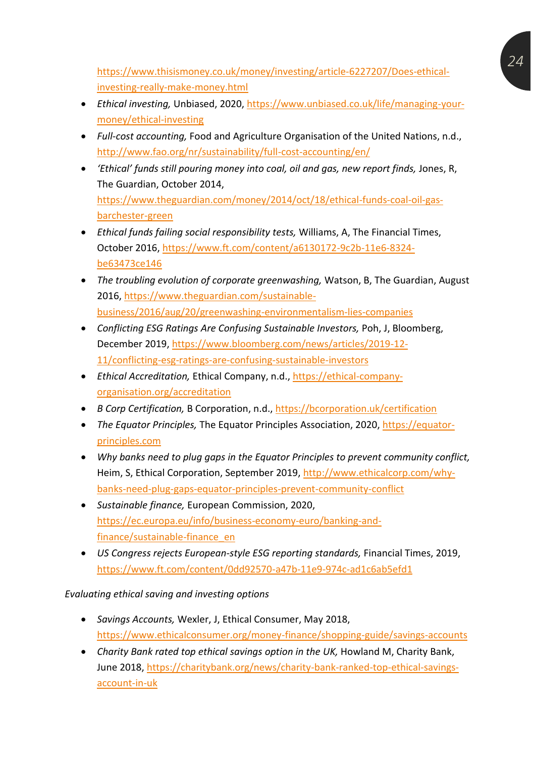[https://www.thisismoney.co.uk/money/investing/article-6227207/Does-ethical](https://www.thisismoney.co.uk/money/investing/article-6227207/Does-ethical-investing-really-make-money.html)[investing-really-make-money.html](https://www.thisismoney.co.uk/money/investing/article-6227207/Does-ethical-investing-really-make-money.html)

- *Ethical investing,* Unbiased, 2020, [https://www.unbiased.co.uk/life/managing-your](https://www.unbiased.co.uk/life/managing-your-money/ethical-investing)[money/ethical-investing](https://www.unbiased.co.uk/life/managing-your-money/ethical-investing)
- *Full-cost accounting,* Food and Agriculture Organisation of the United Nations, n.d., <http://www.fao.org/nr/sustainability/full-cost-accounting/en/>
- *'Ethical' funds still pouring money into coal, oil and gas, new report finds,* Jones, R, The Guardian, October 2014, [https://www.theguardian.com/money/2014/oct/18/ethical-funds-coal-oil-gas](https://www.theguardian.com/money/2014/oct/18/ethical-funds-coal-oil-gas-barchester-green)[barchester-green](https://www.theguardian.com/money/2014/oct/18/ethical-funds-coal-oil-gas-barchester-green)
- *Ethical funds failing social responsibility tests,* Williams, A, The Financial Times, October 2016, [https://www.ft.com/content/a6130172-9c2b-11e6-8324](https://www.ft.com/content/a6130172-9c2b-11e6-8324-be63473ce146) [be63473ce146](https://www.ft.com/content/a6130172-9c2b-11e6-8324-be63473ce146)
- *The troubling evolution of corporate greenwashing,* Watson, B, The Guardian, August 2016, [https://www.theguardian.com/sustainable](https://www.theguardian.com/sustainable-business/2016/aug/20/greenwashing-environmentalism-lies-companies)[business/2016/aug/20/greenwashing-environmentalism-lies-companies](https://www.theguardian.com/sustainable-business/2016/aug/20/greenwashing-environmentalism-lies-companies)
- *Conflicting ESG Ratings Are Confusing Sustainable Investors,* Poh, J, Bloomberg, December 2019, [https://www.bloomberg.com/news/articles/2019-12-](https://www.bloomberg.com/news/articles/2019-12-11/conflicting-esg-ratings-are-confusing-sustainable-investors) [11/conflicting-esg-ratings-are-confusing-sustainable-investors](https://www.bloomberg.com/news/articles/2019-12-11/conflicting-esg-ratings-are-confusing-sustainable-investors)
- *Ethical Accreditation,* Ethical Company, n.d., [https://ethical-company](https://ethical-company-organisation.org/accreditation)[organisation.org/accreditation](https://ethical-company-organisation.org/accreditation)
- *B Corp Certification,* B Corporation, n.d.,<https://bcorporation.uk/certification>
- *The Equator Principles,* The Equator Principles Association, 2020, [https://equator](https://equator-principles.com/)[principles.com](https://equator-principles.com/)
- *Why banks need to plug gaps in the Equator Principles to prevent community conflict,*  Heim, S, Ethical Corporation, September 2019, [http://www.ethicalcorp.com/why](http://www.ethicalcorp.com/why-banks-need-plug-gaps-equator-principles-prevent-community-conflict)[banks-need-plug-gaps-equator-principles-prevent-community-conflict](http://www.ethicalcorp.com/why-banks-need-plug-gaps-equator-principles-prevent-community-conflict)
- *Sustainable finance,* European Commission, 2020, [https://ec.europa.eu/info/business-economy-euro/banking-and](https://ec.europa.eu/info/business-economy-euro/banking-and-finance/sustainable-finance_en)[finance/sustainable-finance\\_en](https://ec.europa.eu/info/business-economy-euro/banking-and-finance/sustainable-finance_en)
- *US Congress rejects European-style ESG reporting standards, Financial Times, 2019,* <https://www.ft.com/content/0dd92570-a47b-11e9-974c-ad1c6ab5efd1>

#### *Evaluating ethical saving and investing options*

- *Savings Accounts,* Wexler, J, Ethical Consumer, May 2018, <https://www.ethicalconsumer.org/money-finance/shopping-guide/savings-accounts>
- Charity Bank rated top ethical savings option in the UK, Howland M, Charity Bank, June 2018, [https://charitybank.org/news/charity-bank-ranked-top-ethical-savings](https://charitybank.org/news/charity-bank-ranked-top-ethical-savings-account-in-uk)[account-in-uk](https://charitybank.org/news/charity-bank-ranked-top-ethical-savings-account-in-uk)